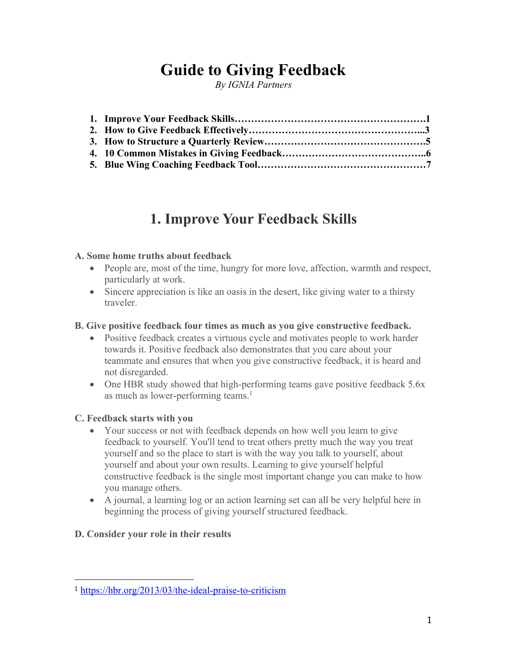# **Guide to Giving Feedback**

*By IGNIA Partners*

# **1. Improve Your Feedback Skills**

### **A. Some home truths about feedback**

- People are, most of the time, hungry for more love, affection, warmth and respect, particularly at work.
- Sincere appreciation is like an oasis in the desert, like giving water to a thirsty traveler.

### **B. Give positive feedback four times as much as you give constructive feedback.**

- Positive feedback creates a virtuous cycle and motivates people to work harder towards it. Positive feedback also demonstrates that you care about your teammate and ensures that when you give constructive feedback, it is heard and not disregarded.
- One HBR study showed that high-performing teams gave positive feedback 5.6x as much as lower-performing teams.<sup>1</sup>

### **C. Feedback starts with you**

- Your success or not with feedback depends on how well you learn to give feedback to yourself. You'll tend to treat others pretty much the way you treat yourself and so the place to start is with the way you talk to yourself, about yourself and about your own results. Learning to give yourself helpful constructive feedback is the single most important change you can make to how you manage others.
- A journal, a learning log or an action learning set can all be very helpful here in beginning the process of giving yourself structured feedback.

## **D. Consider your role in their results**

<sup>1</sup> https://hbr.org/2013/03/the-ideal-praise-to-criticism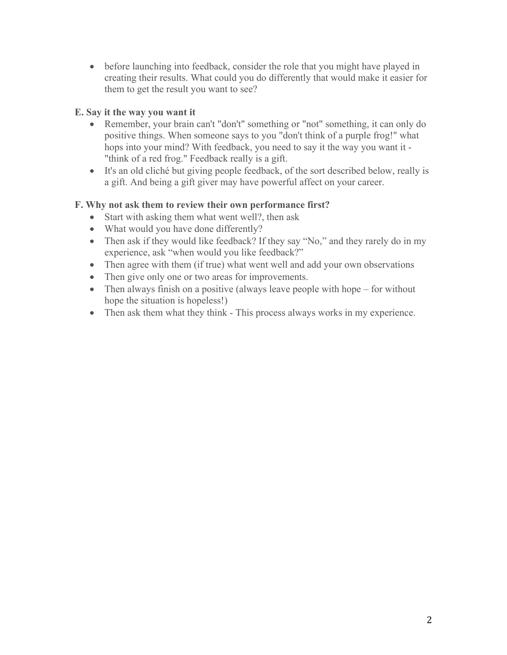• before launching into feedback, consider the role that you might have played in creating their results. What could you do differently that would make it easier for them to get the result you want to see?

## **E. Say it the way you want it**

- Remember, your brain can't "don't" something or "not" something, it can only do positive things. When someone says to you "don't think of a purple frog!" what hops into your mind? With feedback, you need to say it the way you want it - "think of a red frog." Feedback really is a gift.
- It's an old cliché but giving people feedback, of the sort described below, really is a gift. And being a gift giver may have powerful affect on your career.

### **F. Why not ask them to review their own performance first?**

- Start with asking them what went well?, then ask
- What would you have done differently?
- Then ask if they would like feedback? If they say "No," and they rarely do in my experience, ask "when would you like feedback?"
- Then agree with them (if true) what went well and add your own observations
- Then give only one or two areas for improvements.
- Then always finish on a positive (always leave people with hope for without hope the situation is hopeless!)
- Then ask them what they think This process always works in my experience.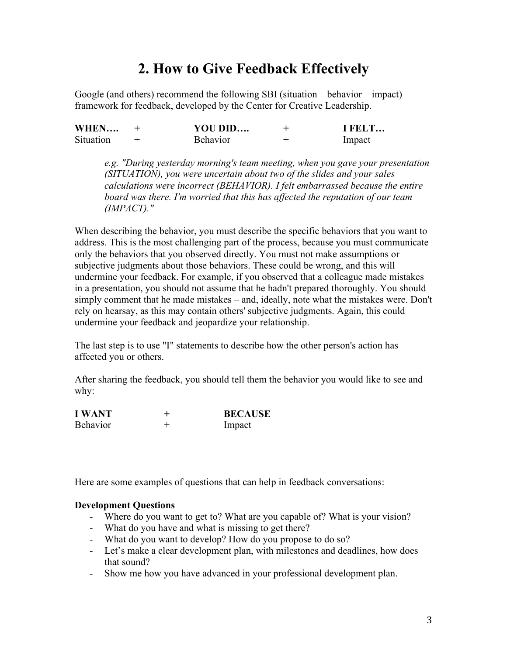## **2. How to Give Feedback Effectively**

Google (and others) recommend the following SBI (situation – behavior – impact) framework for feedback, developed by the Center for Creative Leadership.

| WHEN      | YOU DID         | I FELT |
|-----------|-----------------|--------|
| Situation | <b>Behavior</b> | Impact |

*e.g. "During yesterday morning's team meeting, when you gave your presentation (SITUATION), you were uncertain about two of the slides and your sales calculations were incorrect (BEHAVIOR). I felt embarrassed because the entire board was there. I'm worried that this has affected the reputation of our team (IMPACT)."*

When describing the behavior, you must describe the specific behaviors that you want to address. This is the most challenging part of the process, because you must communicate only the behaviors that you observed directly. You must not make assumptions or subjective judgments about those behaviors. These could be wrong, and this will undermine your feedback. For example, if you observed that a colleague made mistakes in a presentation, you should not assume that he hadn't prepared thoroughly. You should simply comment that he made mistakes – and, ideally, note what the mistakes were. Don't rely on hearsay, as this may contain others' subjective judgments. Again, this could undermine your feedback and jeopardize your relationship.

The last step is to use "I" statements to describe how the other person's action has affected you or others.

After sharing the feedback, you should tell them the behavior you would like to see and why:

| <b>I WANT</b>   | <b>BECAUSE</b> |
|-----------------|----------------|
| <b>Behavior</b> | Impact         |

Here are some examples of questions that can help in feedback conversations:

#### **Development Questions**

- Where do you want to get to? What are you capable of? What is your vision?
- What do you have and what is missing to get there?
- What do you want to develop? How do you propose to do so?
- Let's make a clear development plan, with milestones and deadlines, how does that sound?
- Show me how you have advanced in your professional development plan.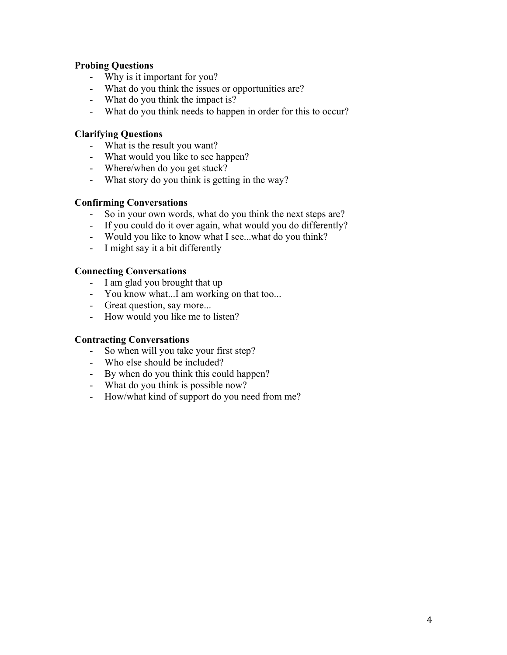### **Probing Questions**

- Why is it important for you?
- What do you think the issues or opportunities are?
- What do you think the impact is?
- What do you think needs to happen in order for this to occur?

### **Clarifying Questions**

- What is the result you want?
- What would you like to see happen?
- Where/when do you get stuck?
- What story do you think is getting in the way?

#### **Confirming Conversations**

- So in your own words, what do you think the next steps are?
- If you could do it over again, what would you do differently?
- Would you like to know what I see...what do you think?
- I might say it a bit differently

#### **Connecting Conversations**

- I am glad you brought that up
- You know what...I am working on that too...
- Great question, say more...
- How would you like me to listen?

#### **Contracting Conversations**

- So when will you take your first step?
- Who else should be included?
- By when do you think this could happen?
- What do you think is possible now?
- How/what kind of support do you need from me?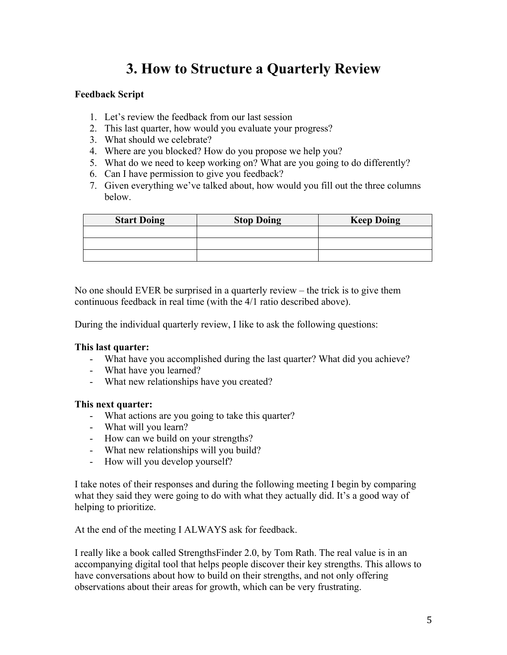# **3. How to Structure a Quarterly Review**

### **Feedback Script**

- 1. Let's review the feedback from our last session
- 2. This last quarter, how would you evaluate your progress?
- 3. What should we celebrate?
- 4. Where are you blocked? How do you propose we help you?
- 5. What do we need to keep working on? What are you going to do differently?
- 6. Can I have permission to give you feedback?
- 7. Given everything we've talked about, how would you fill out the three columns below.

| <b>Start Doing</b> | <b>Stop Doing</b> | <b>Keep Doing</b> |
|--------------------|-------------------|-------------------|
|                    |                   |                   |
|                    |                   |                   |
|                    |                   |                   |

No one should EVER be surprised in a quarterly review – the trick is to give them continuous feedback in real time (with the 4/1 ratio described above).

During the individual quarterly review, I like to ask the following questions:

#### **This last quarter:**

- What have you accomplished during the last quarter? What did you achieve?
- What have you learned?
- What new relationships have you created?

#### **This next quarter:**

- What actions are you going to take this quarter?
- What will you learn?
- How can we build on your strengths?
- What new relationships will you build?
- How will you develop yourself?

I take notes of their responses and during the following meeting I begin by comparing what they said they were going to do with what they actually did. It's a good way of helping to prioritize.

At the end of the meeting I ALWAYS ask for feedback.

I really like a book called StrengthsFinder 2.0, by Tom Rath. The real value is in an accompanying digital tool that helps people discover their key strengths. This allows to have conversations about how to build on their strengths, and not only offering observations about their areas for growth, which can be very frustrating.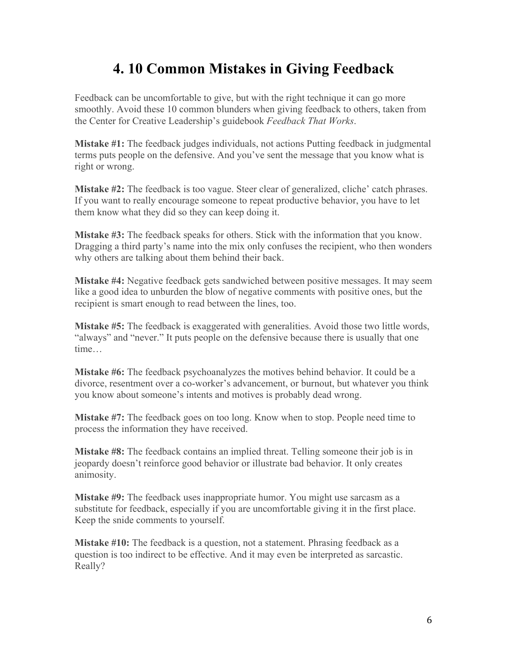# **4. 10 Common Mistakes in Giving Feedback**

Feedback can be uncomfortable to give, but with the right technique it can go more smoothly. Avoid these 10 common blunders when giving feedback to others, taken from the Center for Creative Leadership's guidebook *Feedback That Works*.

**Mistake #1:** The feedback judges individuals, not actions Putting feedback in judgmental terms puts people on the defensive. And you've sent the message that you know what is right or wrong.

**Mistake #2:** The feedback is too vague. Steer clear of generalized, cliche' catch phrases. If you want to really encourage someone to repeat productive behavior, you have to let them know what they did so they can keep doing it.

**Mistake #3:** The feedback speaks for others. Stick with the information that you know. Dragging a third party's name into the mix only confuses the recipient, who then wonders why others are talking about them behind their back.

**Mistake #4:** Negative feedback gets sandwiched between positive messages. It may seem like a good idea to unburden the blow of negative comments with positive ones, but the recipient is smart enough to read between the lines, too.

**Mistake #5:** The feedback is exaggerated with generalities. Avoid those two little words, "always" and "never." It puts people on the defensive because there is usually that one time…

**Mistake #6:** The feedback psychoanalyzes the motives behind behavior. It could be a divorce, resentment over a co-worker's advancement, or burnout, but whatever you think you know about someone's intents and motives is probably dead wrong.

**Mistake #7:** The feedback goes on too long. Know when to stop. People need time to process the information they have received.

**Mistake #8:** The feedback contains an implied threat. Telling someone their job is in jeopardy doesn't reinforce good behavior or illustrate bad behavior. It only creates animosity.

**Mistake #9:** The feedback uses inappropriate humor. You might use sarcasm as a substitute for feedback, especially if you are uncomfortable giving it in the first place. Keep the snide comments to yourself.

**Mistake #10:** The feedback is a question, not a statement. Phrasing feedback as a question is too indirect to be effective. And it may even be interpreted as sarcastic. Really?